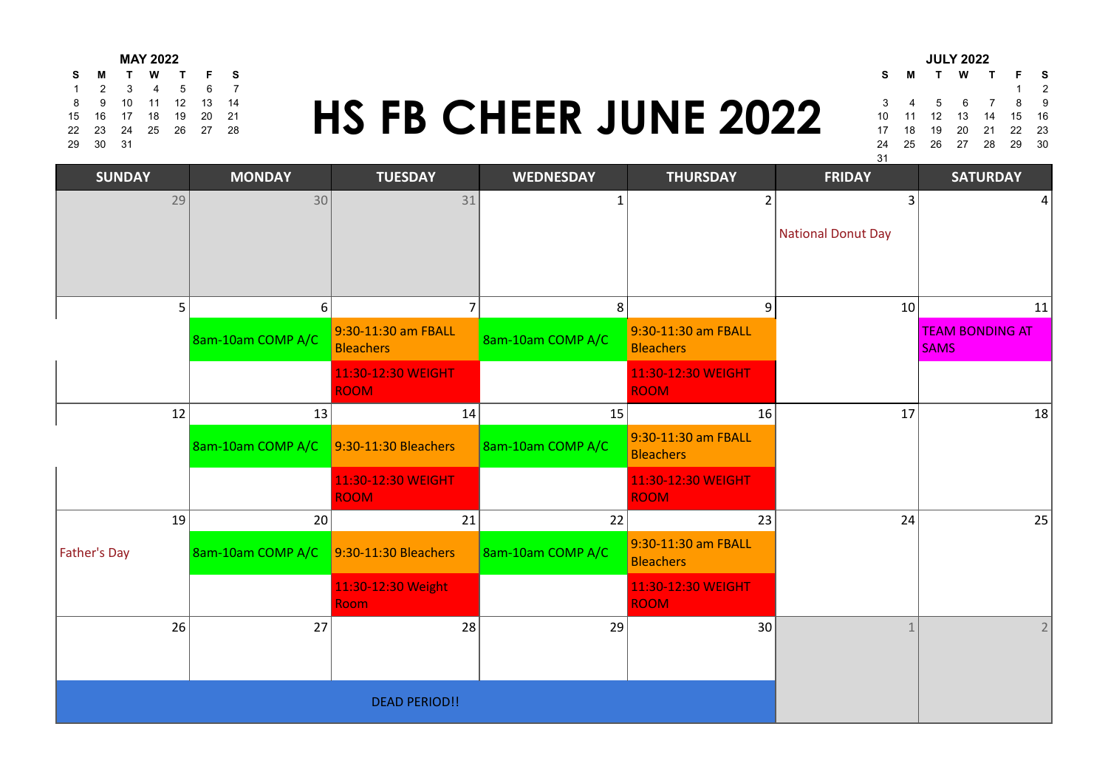| <b>MAY 2022</b> |          |  |                      |  |               |                              |  |                      | <b>JULY 2022</b> |  |  |
|-----------------|----------|--|----------------------|--|---------------|------------------------------|--|----------------------|------------------|--|--|
|                 |          |  | S M T W T F S        |  |               |                              |  | S M T W T F S        |                  |  |  |
|                 |          |  |                      |  | 1 2 3 4 5 6 7 |                              |  |                      |                  |  |  |
|                 |          |  | 8 9 10 11 12 13 14   |  |               |                              |  | 3 4 5 6 7 8 9        |                  |  |  |
|                 |          |  | 15 16 17 18 19 20 21 |  |               | <b>HS FB CHEER JUNE 2022</b> |  | 10 11 12 13 14 15 16 |                  |  |  |
|                 |          |  | 22 23 24 25 26 27 28 |  |               |                              |  | 17 18 19 20 21 22 23 |                  |  |  |
|                 | 29 30 31 |  |                      |  |               |                              |  | 24 25 26 27 28 29 30 |                  |  |  |

## 8 9 10 11 12 13 14<br>2 23 24 25 26 27 28<br>2 23 24 25 26 27 28<br>2 33 24 25 26 27 28 15 16 17 18 19 20 21 **11 12 15 16 17 18 17 18 18 19 10 11 12 13 14 15 16** 22 23 24 25 26 27 28 **17 18 19 19 10 11 12 12 14 14 15 16 17 18 19 10 11 11 12 2** 23 29 30 31 24 25 26 27 28 29 30

|    |    |              | JULI ZUZZ       |                |      |    |
|----|----|--------------|-----------------|----------------|------|----|
| s  | м  | $\mathbf{T}$ | W               | $\mathbf{T}$   | F    | s  |
|    |    |              |                 |                | 1    | 2  |
| 3  | 4  | 5            | $6\overline{6}$ | $\overline{7}$ | 8    | 9  |
| 10 | 11 |              | 12 13 14        |                | 15   | 16 |
| 17 | 18 | 19           | 20              | 21 22          |      | 23 |
| 24 | 25 |              | 26 27 28        |                | - 29 | 30 |
| 31 |    |              |                 |                |      |    |

| <b>SUNDAY</b> |    | <b>MONDAY</b>     | <b>TUESDAY</b>                    | <b>WEDNESDAY</b>  | <b>THURSDAY</b>                         | <b>FRIDAY</b>             | <b>SATURDAY</b>        |
|---------------|----|-------------------|-----------------------------------|-------------------|-----------------------------------------|---------------------------|------------------------|
|               | 29 | 30                | 31                                |                   | $\overline{2}$                          | 3                         | 4                      |
|               |    |                   |                                   |                   |                                         | <b>National Donut Day</b> |                        |
|               |    |                   |                                   |                   |                                         |                           |                        |
|               | 5  | 6                 | 7                                 | 8                 | 9                                       | 10                        | 11                     |
|               |    |                   | 9:30-11:30 am FBALL               |                   | 9:30-11:30 am FBALL                     |                           | <b>TEAM BONDING AT</b> |
|               |    | 8am-10am COMP A/C | <b>Bleachers</b>                  | 8am-10am COMP A/C | <b>Bleachers</b>                        |                           | <b>SAMS</b>            |
|               |    |                   | 11:30-12:30 WEIGHT<br><b>ROOM</b> |                   | 11:30-12:30 WEIGHT<br><b>ROOM</b>       |                           |                        |
|               | 12 | 13                | 14                                | 15                | 16                                      | 17                        | 18                     |
|               |    |                   |                                   |                   | 9:30-11:30 am FBALL                     |                           |                        |
|               |    | 8am-10am COMP A/C | $9:30-11:30$ Bleachers            | 8am-10am COMP A/C | <b>Bleachers</b>                        |                           |                        |
|               |    |                   | 11:30-12:30 WEIGHT                |                   | 11:30-12:30 WEIGHT                      |                           |                        |
|               |    |                   | <b>ROOM</b>                       |                   | <b>ROOM</b>                             |                           |                        |
|               | 19 | 20                | 21                                | 22                | 23                                      | 24                        | 25                     |
| Father's Day  |    | 8am-10am COMP A/C | 9:30-11:30 Bleachers              | 8am-10am COMP A/C | 9:30-11:30 am FBALL<br><b>Bleachers</b> |                           |                        |
|               |    |                   | 11:30-12:30 Weight                |                   | 11:30-12:30 WEIGHT                      |                           |                        |
|               |    |                   | <b>Room</b>                       |                   | <b>ROOM</b>                             |                           |                        |
|               | 26 | 27                | 28                                | 29                | 30                                      | $\mathbf{1}$              | $\overline{2}$         |
|               |    |                   |                                   |                   |                                         |                           |                        |
|               |    |                   | <b>DEAD PERIOD!!</b>              |                   |                                         |                           |                        |
|               |    |                   |                                   |                   |                                         |                           |                        |